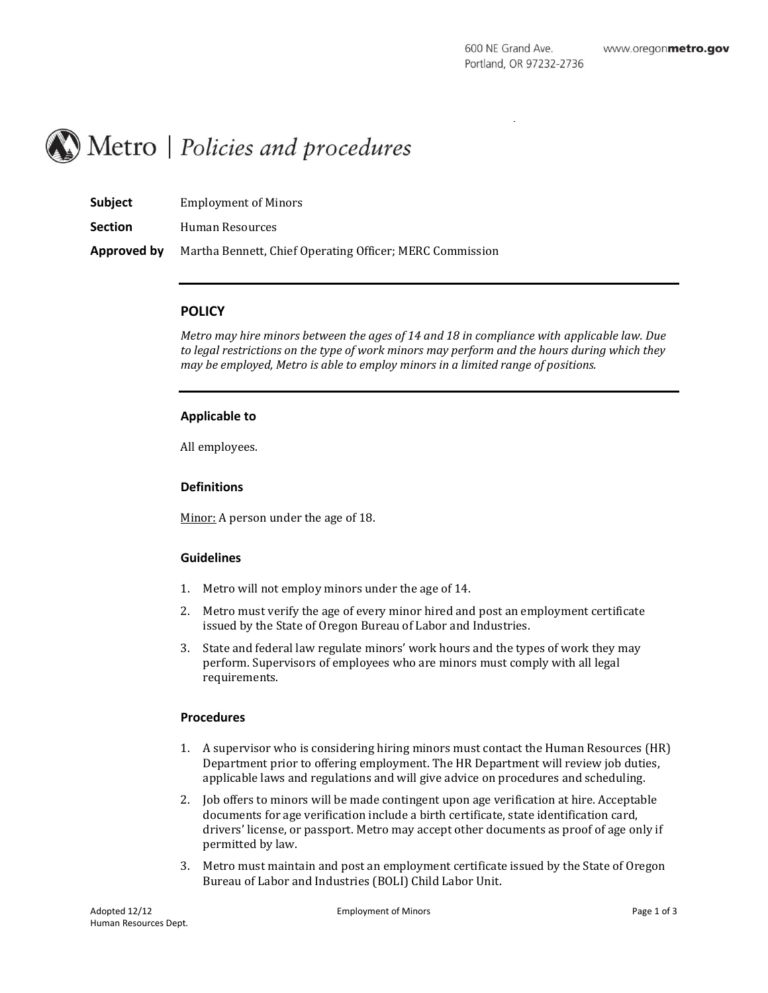# $\Box$  Metro | Policies and procedures

| Subject        | <b>Employment of Minors</b>                              |
|----------------|----------------------------------------------------------|
| <b>Section</b> | Human Resources                                          |
| Approved by    | Martha Bennett, Chief Operating Officer; MERC Commission |

#### **POLICY**

*Metro may hire minors between the ages of 14 and 18 in compliance with applicable law. Due to legal restrictions on the type of work minors may perform and the hours during which they may be employed, Metro is able to employ minors in a limited range of positions.*

#### **Applicable to**

All employees.

#### **Definitions**

Minor: A person under the age of 18.

## **Guidelines**

- 1. Metro will not employ minors under the age of 14.
- 2. Metro must verify the age of every minor hired and post an employment certificate issued by the State of Oregon Bureau of Labor and Industries.
- 3. State and federal law regulate minors' work hours and the types of work they may perform. Supervisors of employees who are minors must comply with all legal requirements.

## **Procedures**

- 1. A supervisor who is considering hiring minors must contact the Human Resources (HR) Department prior to offering employment. The HR Department will review job duties, applicable laws and regulations and will give advice on procedures and scheduling.
- 2. Job offers to minors will be made contingent upon age verification at hire. Acceptable documents for age verification include a birth certificate, state identification card, drivers' license, or passport. Metro may accept other documents as proof of age only if permitted by law.
- 3. Metro must maintain and post an employment certificate issued by the State of Oregon Bureau of Labor and Industries (BOLI) Child Labor Unit.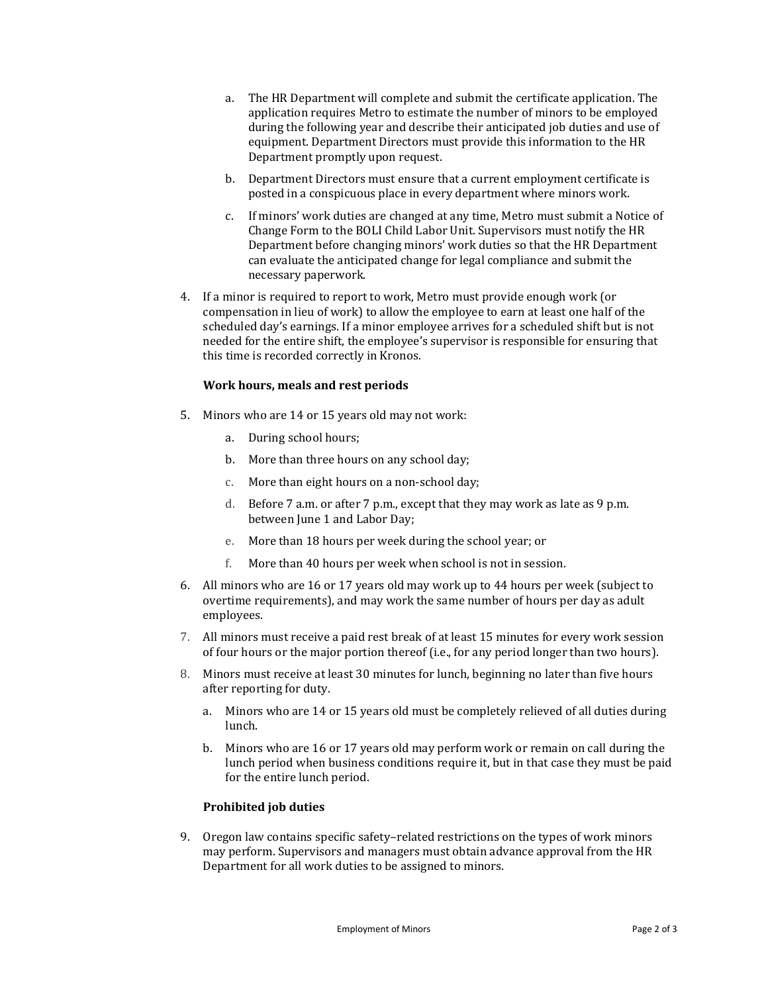- a. The HR Department will complete and submit the certificate application. The application requires Metro to estimate the number of minors to be employed during the following year and describe their anticipated job duties and use of equipment. Department Directors must provide this information to the HR Department promptly upon request.
- b. Department Directors must ensure that a current employment certificate is posted in a conspicuous place in every department where minors work.
- c. If minors' work duties are changed at any time, Metro must submit a Notice of Change Form to the BOLI Child Labor Unit. Supervisors must notify the HR Department before changing minors' work duties so that the HR Department can evaluate the anticipated change for legal compliance and submit the necessary paperwork.
- 4. If a minor is required to report to work, Metro must provide enough work (or compensation in lieu of work) to allow the employee to earn at least one half of the scheduled day's earnings. If a minor employee arrives for a scheduled shift but is not needed for the entire shift, the employee's supervisor is responsible for ensuring that this time is recorded correctly in Kronos.

## **Work hours, meals and rest periods**

- 5. Minors who are 14 or 15 years old may not work:
	- a. During school hours;
	- b. More than three hours on any school day;
	- c. More than eight hours on a non-school day;
	- d. Before 7 a.m. or after 7 p.m., except that they may work as late as 9 p.m. between June 1 and Labor Day;
	- e. More than 18 hours per week during the school year; or
	- f. More than 40 hours per week when school is not in session.
- 6. All minors who are 16 or 17 years old may work up to 44 hours per week (subject to overtime requirements), and may work the same number of hours per day as adult employees.
- 7. All minors must receive a paid rest break of at least 15 minutes for every work session of four hours or the major portion thereof (i.e., for any period longer than two hours).
- 8. Minors must receive at least 30 minutes for lunch, beginning no later than five hours after reporting for duty.
	- a. Minors who are 14 or 15 years old must be completely relieved of all duties during lunch.
	- b. Minors who are 16 or 17 years old may perform work or remain on call during the lunch period when business conditions require it, but in that case they must be paid for the entire lunch period.

## **Prohibited job duties**

9. Oregon law contains specific safety–related restrictions on the types of work minors may perform. Supervisors and managers must obtain advance approval from the HR Department for all work duties to be assigned to minors.